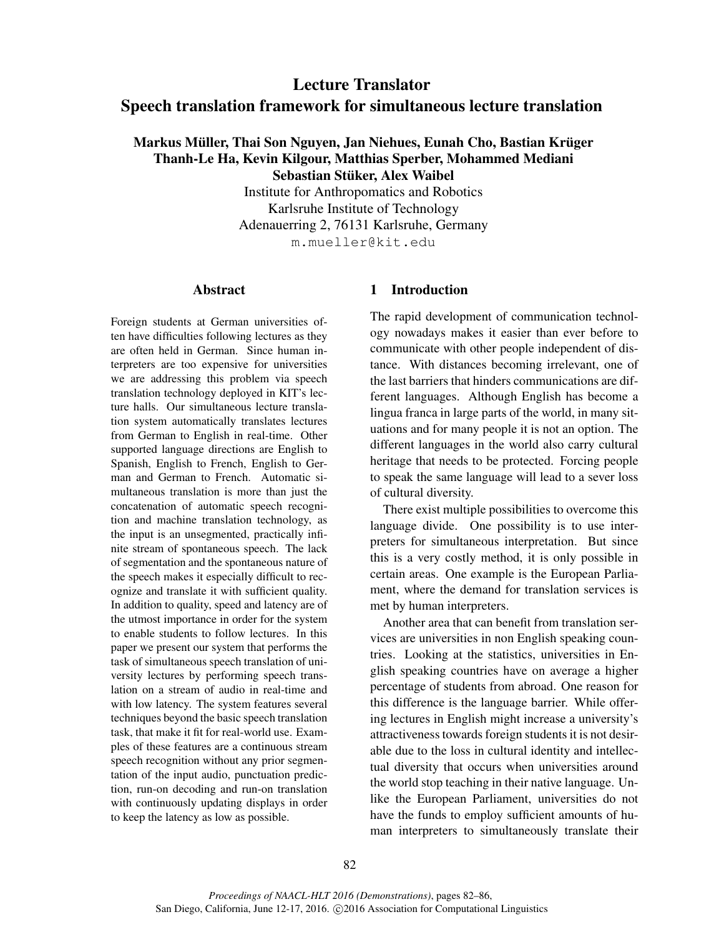# Lecture Translator Speech translation framework for simultaneous lecture translation

# Markus Müller, Thai Son Nguyen, Jan Niehues, Eunah Cho, Bastian Krüger Thanh-Le Ha, Kevin Kilgour, Matthias Sperber, Mohammed Mediani Sebastian Stüker, Alex Waibel

Institute for Anthropomatics and Robotics Karlsruhe Institute of Technology Adenauerring 2, 76131 Karlsruhe, Germany m.mueller@kit.edu

## Abstract

Foreign students at German universities often have difficulties following lectures as they are often held in German. Since human interpreters are too expensive for universities we are addressing this problem via speech translation technology deployed in KIT's lecture halls. Our simultaneous lecture translation system automatically translates lectures from German to English in real-time. Other supported language directions are English to Spanish, English to French, English to German and German to French. Automatic simultaneous translation is more than just the concatenation of automatic speech recognition and machine translation technology, as the input is an unsegmented, practically infinite stream of spontaneous speech. The lack of segmentation and the spontaneous nature of the speech makes it especially difficult to recognize and translate it with sufficient quality. In addition to quality, speed and latency are of the utmost importance in order for the system to enable students to follow lectures. In this paper we present our system that performs the task of simultaneous speech translation of university lectures by performing speech translation on a stream of audio in real-time and with low latency. The system features several techniques beyond the basic speech translation task, that make it fit for real-world use. Examples of these features are a continuous stream speech recognition without any prior segmentation of the input audio, punctuation prediction, run-on decoding and run-on translation with continuously updating displays in order to keep the latency as low as possible.

## 1 Introduction

The rapid development of communication technology nowadays makes it easier than ever before to communicate with other people independent of distance. With distances becoming irrelevant, one of the last barriers that hinders communications are different languages. Although English has become a lingua franca in large parts of the world, in many situations and for many people it is not an option. The different languages in the world also carry cultural heritage that needs to be protected. Forcing people to speak the same language will lead to a sever loss of cultural diversity.

There exist multiple possibilities to overcome this language divide. One possibility is to use interpreters for simultaneous interpretation. But since this is a very costly method, it is only possible in certain areas. One example is the European Parliament, where the demand for translation services is met by human interpreters.

Another area that can benefit from translation services are universities in non English speaking countries. Looking at the statistics, universities in English speaking countries have on average a higher percentage of students from abroad. One reason for this difference is the language barrier. While offering lectures in English might increase a university's attractiveness towards foreign students it is not desirable due to the loss in cultural identity and intellectual diversity that occurs when universities around the world stop teaching in their native language. Unlike the European Parliament, universities do not have the funds to employ sufficient amounts of human interpreters to simultaneously translate their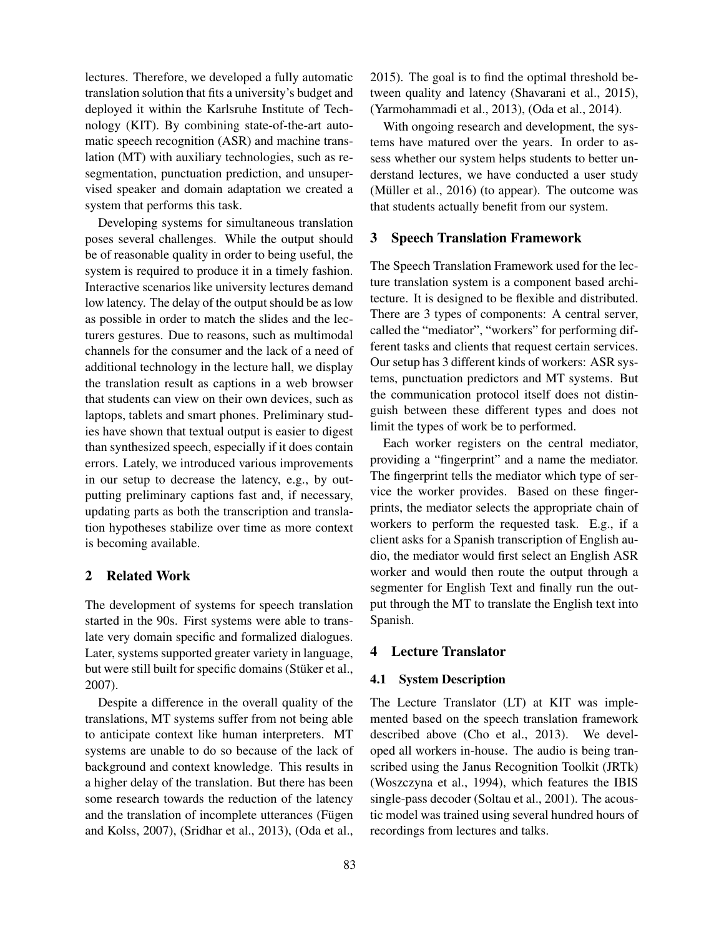lectures. Therefore, we developed a fully automatic translation solution that fits a university's budget and deployed it within the Karlsruhe Institute of Technology (KIT). By combining state-of-the-art automatic speech recognition (ASR) and machine translation (MT) with auxiliary technologies, such as resegmentation, punctuation prediction, and unsupervised speaker and domain adaptation we created a system that performs this task.

Developing systems for simultaneous translation poses several challenges. While the output should be of reasonable quality in order to being useful, the system is required to produce it in a timely fashion. Interactive scenarios like university lectures demand low latency. The delay of the output should be as low as possible in order to match the slides and the lecturers gestures. Due to reasons, such as multimodal channels for the consumer and the lack of a need of additional technology in the lecture hall, we display the translation result as captions in a web browser that students can view on their own devices, such as laptops, tablets and smart phones. Preliminary studies have shown that textual output is easier to digest than synthesized speech, especially if it does contain errors. Lately, we introduced various improvements in our setup to decrease the latency, e.g., by outputting preliminary captions fast and, if necessary, updating parts as both the transcription and translation hypotheses stabilize over time as more context is becoming available.

#### 2 Related Work

The development of systems for speech translation started in the 90s. First systems were able to translate very domain specific and formalized dialogues. Later, systems supported greater variety in language, but were still built for specific domains (Stüker et al., 2007).

Despite a difference in the overall quality of the translations, MT systems suffer from not being able to anticipate context like human interpreters. MT systems are unable to do so because of the lack of background and context knowledge. This results in a higher delay of the translation. But there has been some research towards the reduction of the latency and the translation of incomplete utterances (Fügen and Kolss, 2007), (Sridhar et al., 2013), (Oda et al.,

2015). The goal is to find the optimal threshold between quality and latency (Shavarani et al., 2015), (Yarmohammadi et al., 2013), (Oda et al., 2014).

With ongoing research and development, the systems have matured over the years. In order to assess whether our system helps students to better understand lectures, we have conducted a user study (Müller et al.,  $2016$ ) (to appear). The outcome was that students actually benefit from our system.

#### 3 Speech Translation Framework

The Speech Translation Framework used for the lecture translation system is a component based architecture. It is designed to be flexible and distributed. There are 3 types of components: A central server, called the "mediator", "workers" for performing different tasks and clients that request certain services. Our setup has 3 different kinds of workers: ASR systems, punctuation predictors and MT systems. But the communication protocol itself does not distinguish between these different types and does not limit the types of work be to performed.

Each worker registers on the central mediator, providing a "fingerprint" and a name the mediator. The fingerprint tells the mediator which type of service the worker provides. Based on these fingerprints, the mediator selects the appropriate chain of workers to perform the requested task. E.g., if a client asks for a Spanish transcription of English audio, the mediator would first select an English ASR worker and would then route the output through a segmenter for English Text and finally run the output through the MT to translate the English text into Spanish.

## 4 Lecture Translator

#### 4.1 System Description

The Lecture Translator (LT) at KIT was implemented based on the speech translation framework described above (Cho et al., 2013). We developed all workers in-house. The audio is being transcribed using the Janus Recognition Toolkit (JRTk) (Woszczyna et al., 1994), which features the IBIS single-pass decoder (Soltau et al., 2001). The acoustic model was trained using several hundred hours of recordings from lectures and talks.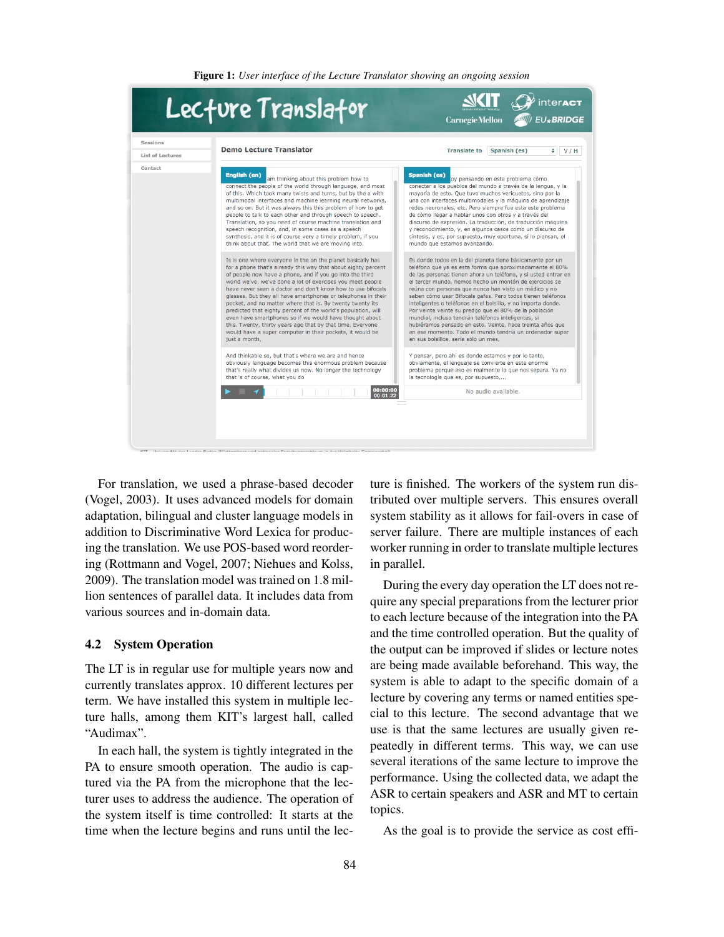Figure 1: *User interface of the Lecture Translator showing an ongoing session*

| Sessions<br><b>List of Lectures</b> | <b>Demo Lecture Translator</b>                                                                                                                                                                                   | <b>Translate to</b><br>Spanish (es)<br>$\div$<br>V/H                                                                                                                                                           |
|-------------------------------------|------------------------------------------------------------------------------------------------------------------------------------------------------------------------------------------------------------------|----------------------------------------------------------------------------------------------------------------------------------------------------------------------------------------------------------------|
|                                     |                                                                                                                                                                                                                  |                                                                                                                                                                                                                |
|                                     | And thinkable so, but that's where we are and hence<br>obviously language becomes this enormous problem because<br>that's really what divides us now. No longer the technology<br>that 's of course, what you do | Y pensar, pero ahí es donde estamos y por lo tanto,<br>obviamente, el lenguaje se convierte en este enorme<br>problema porque eso es realmente lo que nos separa. Ya no<br>la tecnología que es, por supuesto, |
|                                     | 00:00:00<br>00:01:22                                                                                                                                                                                             | No audio available.                                                                                                                                                                                            |

For translation, we used a phrase-based decoder (Vogel, 2003). It uses advanced models for domain adaptation, bilingual and cluster language models in addition to Discriminative Word Lexica for producing the translation. We use POS-based word reordering (Rottmann and Vogel, 2007; Niehues and Kolss, 2009). The translation model was trained on 1.8 million sentences of parallel data. It includes data from various sources and in-domain data.

## 4.2 System Operation

The LT is in regular use for multiple years now and currently translates approx. 10 different lectures per term. We have installed this system in multiple lecture halls, among them KIT's largest hall, called "Audimax".

In each hall, the system is tightly integrated in the PA to ensure smooth operation. The audio is captured via the PA from the microphone that the lecturer uses to address the audience. The operation of the system itself is time controlled: It starts at the time when the lecture begins and runs until the lecture is finished. The workers of the system run distributed over multiple servers. This ensures overall system stability as it allows for fail-overs in case of server failure. There are multiple instances of each worker running in order to translate multiple lectures in parallel.

During the every day operation the LT does not require any special preparations from the lecturer prior to each lecture because of the integration into the PA and the time controlled operation. But the quality of the output can be improved if slides or lecture notes are being made available beforehand. This way, the system is able to adapt to the specific domain of a lecture by covering any terms or named entities special to this lecture. The second advantage that we use is that the same lectures are usually given repeatedly in different terms. This way, we can use several iterations of the same lecture to improve the performance. Using the collected data, we adapt the ASR to certain speakers and ASR and MT to certain topics.

As the goal is to provide the service as cost effi-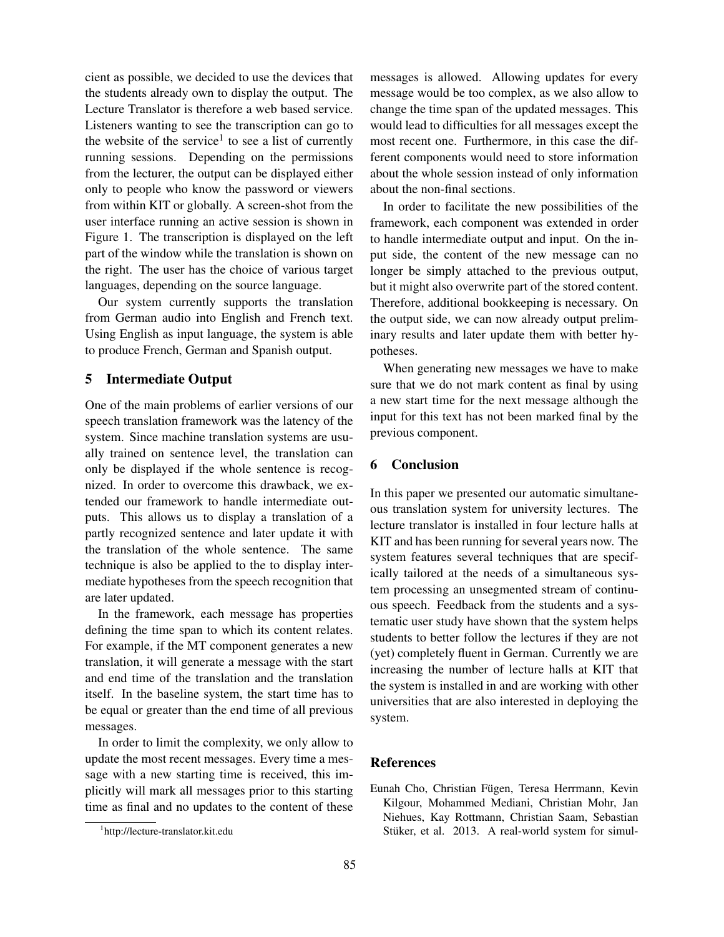cient as possible, we decided to use the devices that the students already own to display the output. The Lecture Translator is therefore a web based service. Listeners wanting to see the transcription can go to the website of the service<sup>1</sup> to see a list of currently running sessions. Depending on the permissions from the lecturer, the output can be displayed either only to people who know the password or viewers from within KIT or globally. A screen-shot from the user interface running an active session is shown in Figure 1. The transcription is displayed on the left part of the window while the translation is shown on the right. The user has the choice of various target languages, depending on the source language.

Our system currently supports the translation from German audio into English and French text. Using English as input language, the system is able to produce French, German and Spanish output.

## 5 Intermediate Output

One of the main problems of earlier versions of our speech translation framework was the latency of the system. Since machine translation systems are usually trained on sentence level, the translation can only be displayed if the whole sentence is recognized. In order to overcome this drawback, we extended our framework to handle intermediate outputs. This allows us to display a translation of a partly recognized sentence and later update it with the translation of the whole sentence. The same technique is also be applied to the to display intermediate hypotheses from the speech recognition that are later updated.

In the framework, each message has properties defining the time span to which its content relates. For example, if the MT component generates a new translation, it will generate a message with the start and end time of the translation and the translation itself. In the baseline system, the start time has to be equal or greater than the end time of all previous messages.

In order to limit the complexity, we only allow to update the most recent messages. Every time a message with a new starting time is received, this implicitly will mark all messages prior to this starting time as final and no updates to the content of these messages is allowed. Allowing updates for every message would be too complex, as we also allow to change the time span of the updated messages. This would lead to difficulties for all messages except the most recent one. Furthermore, in this case the different components would need to store information about the whole session instead of only information about the non-final sections.

In order to facilitate the new possibilities of the framework, each component was extended in order to handle intermediate output and input. On the input side, the content of the new message can no longer be simply attached to the previous output, but it might also overwrite part of the stored content. Therefore, additional bookkeeping is necessary. On the output side, we can now already output preliminary results and later update them with better hypotheses.

When generating new messages we have to make sure that we do not mark content as final by using a new start time for the next message although the input for this text has not been marked final by the previous component.

## 6 Conclusion

In this paper we presented our automatic simultaneous translation system for university lectures. The lecture translator is installed in four lecture halls at KIT and has been running for several years now. The system features several techniques that are specifically tailored at the needs of a simultaneous system processing an unsegmented stream of continuous speech. Feedback from the students and a systematic user study have shown that the system helps students to better follow the lectures if they are not (yet) completely fluent in German. Currently we are increasing the number of lecture halls at KIT that the system is installed in and are working with other universities that are also interested in deploying the system.

## References

Eunah Cho, Christian Fügen, Teresa Herrmann, Kevin Kilgour, Mohammed Mediani, Christian Mohr, Jan Niehues, Kay Rottmann, Christian Saam, Sebastian Stüker, et al. 2013. A real-world system for simul-

<sup>1</sup> http://lecture-translator.kit.edu